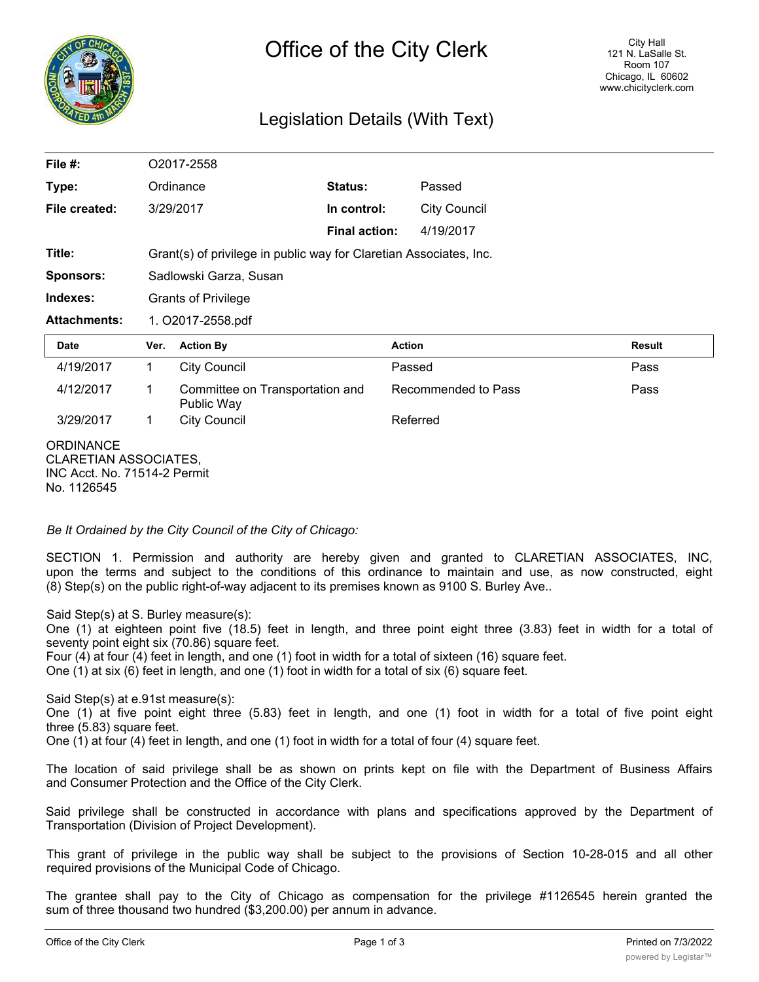

## Legislation Details (With Text)

| File $#$ :          |              | O2017-2558                                                         |                      |                     |               |  |
|---------------------|--------------|--------------------------------------------------------------------|----------------------|---------------------|---------------|--|
| Type:               |              | Ordinance                                                          | Status:              | Passed              |               |  |
| File created:       |              | 3/29/2017                                                          | In control:          | <b>City Council</b> |               |  |
|                     |              |                                                                    | <b>Final action:</b> | 4/19/2017           |               |  |
| Title:              |              | Grant(s) of privilege in public way for Claretian Associates, Inc. |                      |                     |               |  |
| <b>Sponsors:</b>    |              | Sadlowski Garza, Susan                                             |                      |                     |               |  |
| Indexes:            |              | <b>Grants of Privilege</b>                                         |                      |                     |               |  |
| <b>Attachments:</b> |              | 1. O2017-2558.pdf                                                  |                      |                     |               |  |
| <b>Date</b>         | Ver.         | <b>Action By</b>                                                   | <b>Action</b>        |                     | <b>Result</b> |  |
| 4/19/2017           | 1.           | <b>City Council</b>                                                |                      | Passed              | Pass          |  |
| 4/12/2017           | 1            | Committee on Transportation and<br>Public Way                      |                      | Recommended to Pass | Pass          |  |
| 3/29/2017           | $\mathbf{1}$ | <b>City Council</b>                                                |                      | Referred            |               |  |
| <b>ORDINANCE</b>    |              |                                                                    |                      |                     |               |  |

*Be It Ordained by the City Council of the City of Chicago:*

SECTION 1. Permission and authority are hereby given and granted to CLARETIAN ASSOCIATES, INC, upon the terms and subject to the conditions of this ordinance to maintain and use, as now constructed, eight (8) Step(s) on the public right-of-way adjacent to its premises known as 9100 S. Burley Ave..

Said Step(s) at S. Burley measure(s):

One (1) at eighteen point five (18.5) feet in length, and three point eight three (3.83) feet in width for a total of seventy point eight six (70.86) square feet.

Four (4) at four (4) feet in length, and one (1) foot in width for a total of sixteen (16) square feet.

One (1) at six (6) feet in length, and one (1) foot in width for a total of six (6) square feet.

Said Step(s) at e.91st measure(s):

One (1) at five point eight three (5.83) feet in length, and one (1) foot in width for a total of five point eight three (5.83) square feet.

One (1) at four (4) feet in length, and one (1) foot in width for a total of four (4) square feet.

The location of said privilege shall be as shown on prints kept on file with the Department of Business Affairs and Consumer Protection and the Office of the City Clerk.

Said privilege shall be constructed in accordance with plans and specifications approved by the Department of Transportation (Division of Project Development).

This grant of privilege in the public way shall be subject to the provisions of Section 10-28-015 and all other required provisions of the Municipal Code of Chicago.

The grantee shall pay to the City of Chicago as compensation for the privilege #1126545 herein granted the sum of three thousand two hundred (\$3,200.00) per annum in advance.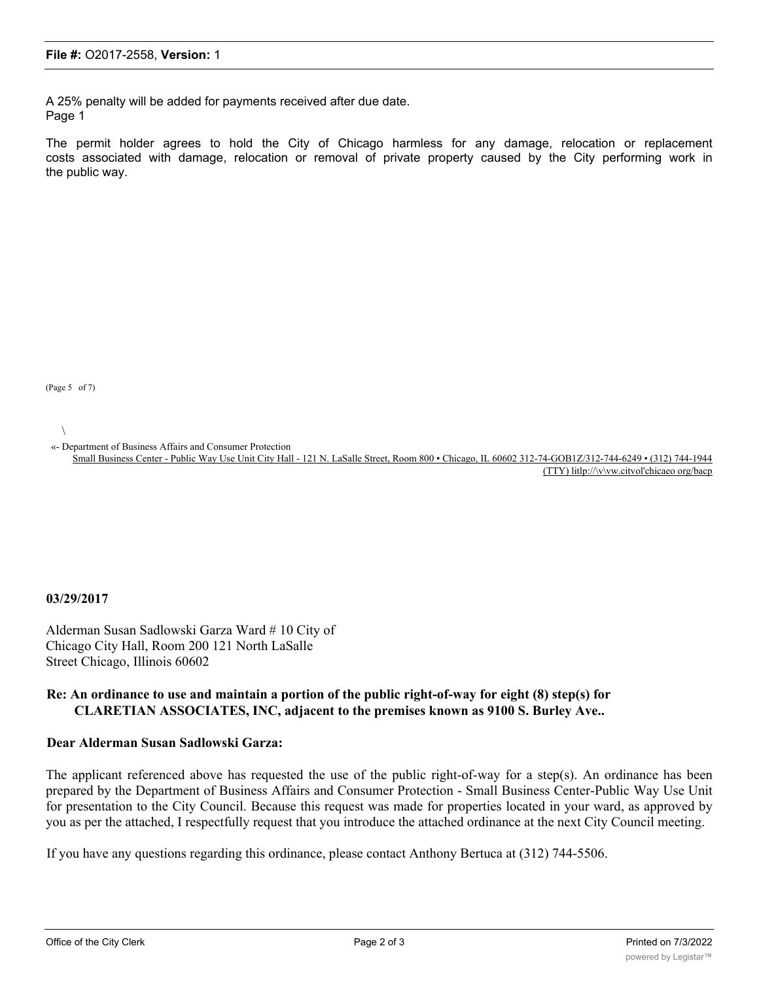A 25% penalty will be added for payments received after due date. Page 1

The permit holder agrees to hold the City of Chicago harmless for any damage, relocation or replacement costs associated with damage, relocation or removal of private property caused by the City performing work in the public way.

(Page 5 of 7)

 $\setminus$ 

«- Department of Business Affairs and Consumer Protection

Small Business Center - Public Way Use Unit City Hall - 121 N. LaSalle Street, Room 800 • Chicago, IL 60602 312-74-GOB1Z/312-744-6249 • (312) 744-1944 (TTY) litlp://\v\vw.citvol'chicaeo org/bacp

## **03/29/2017**

Alderman Susan Sadlowski Garza Ward # 10 City of Chicago City Hall, Room 200 121 North LaSalle Street Chicago, Illinois 60602

## **Re: An ordinance to use and maintain a portion of the public right-of-way for eight (8) step(s) for CLARETIAN ASSOCIATES, INC, adjacent to the premises known as 9100 S. Burley Ave..**

## **Dear Alderman Susan Sadlowski Garza:**

The applicant referenced above has requested the use of the public right-of-way for a step(s). An ordinance has been prepared by the Department of Business Affairs and Consumer Protection - Small Business Center-Public Way Use Unit for presentation to the City Council. Because this request was made for properties located in your ward, as approved by you as per the attached, I respectfully request that you introduce the attached ordinance at the next City Council meeting.

If you have any questions regarding this ordinance, please contact Anthony Bertuca at (312) 744-5506.